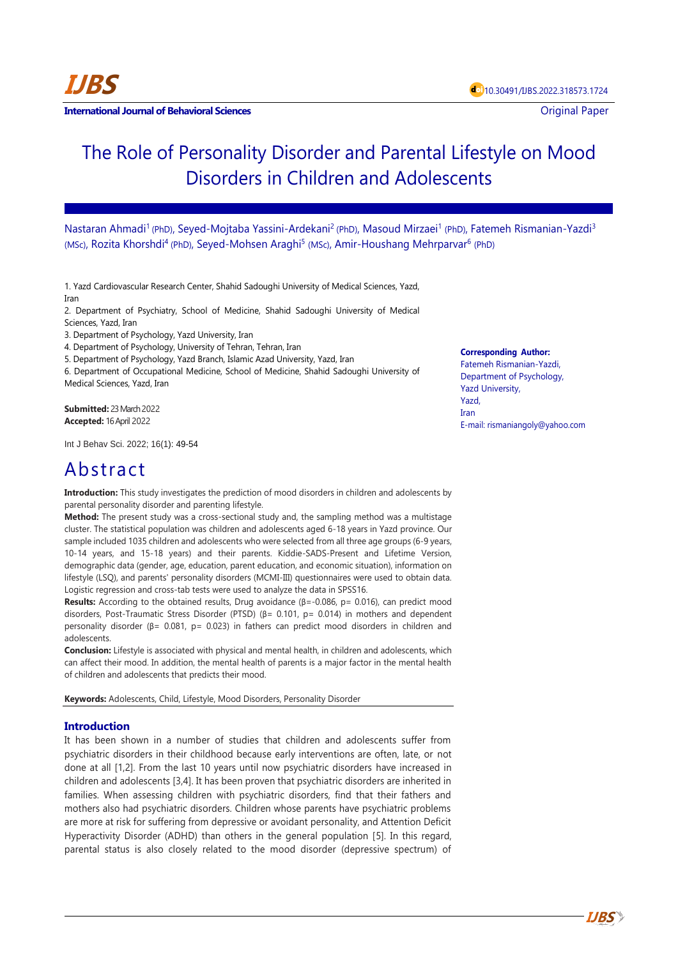**International Journal of Behavioral Sciences Contract Contract Contract Contract Contract Contract Contract Contract Contract Contract Contract Contract Contract Contract Contract Contract Contract Contract Contract Con** 

# The Role of Personality Disorder and Parental Lifestyle on Mood Disorders in Children and Adolescents

Nastaran Ahmadi<sup>1</sup> (PhD), Seyed-Mojtaba Yassini-Ardekani<sup>2</sup> (PhD), Masoud Mirzaei<sup>1</sup> (PhD), Fatemeh Rismanian-Yazdi<sup>3</sup> (MSc), Rozita Khorshdi<sup>4</sup> (PhD), Seyed-Mohsen Araghi<sup>5</sup> (MSc), Amir-Houshang Mehrparvar<sup>6</sup> (PhD)

1. Yazd Cardiovascular Research Center, Shahid Sadoughi University of Medical Sciences, Yazd, Iran

2. Department of Psychiatry, School of Medicine, Shahid Sadoughi University of Medical Sciences, Yazd, Iran

3. Department of Psychology, Yazd University, Iran

4. Department of Psychology, University of Tehran, Tehran, Iran

5. Department of Psychology, Yazd Branch, Islamic Azad University, Yazd, Iran

6. Department of Occupational Medicine, School of Medicine, Shahid Sadoughi University of Medical Sciences, Yazd, Iran

**Submitted:** 23 March 2022 **Accepted:** 16 April 2022

Int J Behav Sci. 2022; 16(1): 49-54

## Abstract

**Introduction:** This study investigates the prediction of mood disorders in children and adolescents by parental personality disorder and parenting lifestyle.

**Method:** The present study was a cross-sectional study and, the sampling method was a multistage cluster. The statistical population was children and adolescents aged 6-18 years in Yazd province. Our sample included 1035 children and adolescents who were selected from all three age groups (6-9 years, 10-14 years, and 15-18 years) and their parents. Kiddie-SADS-Present and Lifetime Version, demographic data (gender, age, education, parent education, and economic situation), information on lifestyle (LSQ), and parents' personality disorders (MCMI-III) questionnaires were used to obtain data. Logistic regression and cross-tab tests were used to analyze the data in SPSS16.

**Results:** According to the obtained results, Drug avoidance (β=-0.086, p= 0.016), can predict mood disorders, Post-Traumatic Stress Disorder (PTSD) (β= 0.101, p= 0.014) in mothers and dependent personality disorder (β= 0.081, p= 0.023) in fathers can predict mood disorders in children and adolescents.

**Conclusion:** Lifestyle is associated with physical and mental health, in children and adolescents, which can affect their mood. In addition, the mental health of parents is a major factor in the mental health of children and adolescents that predicts their mood.

**Keywords:** Adolescents, Child, Lifestyle, Mood Disorders, Personality Disorder

### **Introduction**

It has been shown in a number of studies that children and adolescents suffer from psychiatric disorders in their childhood because early interventions are often, late, or not done at all [1,2]. From the last 10 years until now psychiatric disorders have increased in children and adolescents [3,4]. It has been proven that psychiatric disorders are inherited in families. When assessing children with psychiatric disorders, find that their fathers and mothers also had psychiatric disorders. Children whose parents have psychiatric problems are more at risk for suffering from depressive or avoidant personality, and Attention Deficit Hyperactivity Disorder (ADHD) than others in the general population [5]. In this regard, parental status is also closely related to the mood disorder (depressive spectrum) of

#### **Corresponding Author:**

Fatemeh Rismanian-Yazdi, Department of Psychology, Yazd University, Yazd, Iran E-mail: rismaniangoly@yahoo.com

**IJBS**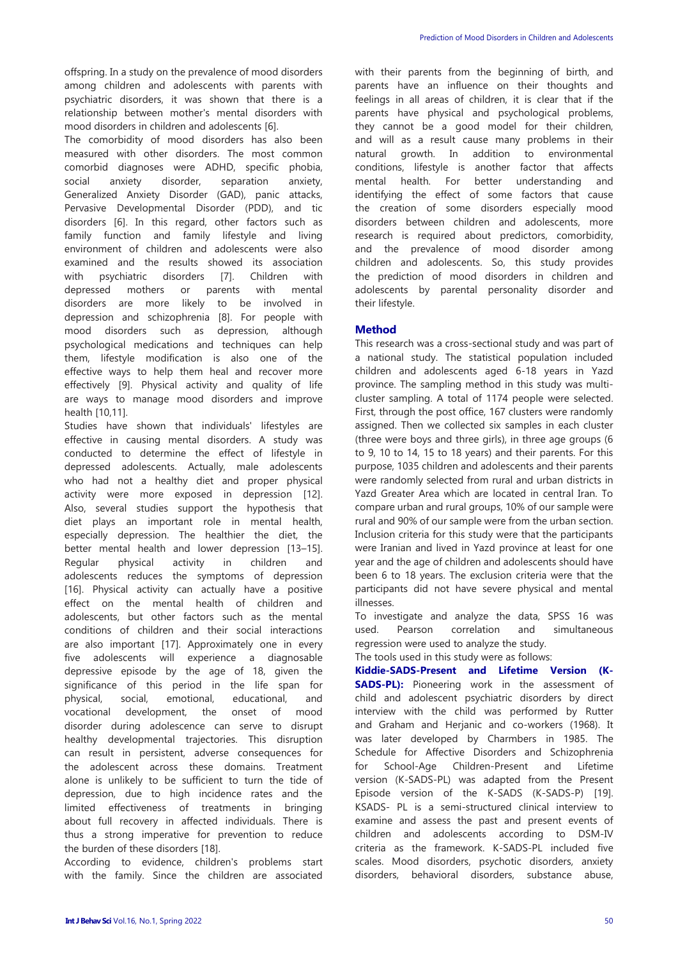offspring. In a study on the prevalence of mood disorders among children and adolescents with parents with psychiatric disorders, it was shown that there is a relationship between mother's mental disorders with mood disorders in children and adolescents [6].

The comorbidity of mood disorders has also been measured with other disorders. The most common comorbid diagnoses were ADHD, specific phobia, social anxiety disorder, separation anxiety, Generalized Anxiety Disorder (GAD), panic attacks, Pervasive Developmental Disorder (PDD), and tic disorders [6]. In this regard, other factors such as family function and family lifestyle and living environment of children and adolescents were also examined and the results showed its association with psychiatric disorders [7]. Children with depressed mothers or parents with mental disorders are more likely to be involved in depression and schizophrenia [8]. For people with mood disorders such as depression, although psychological medications and techniques can help them, lifestyle modification is also one of the effective ways to help them heal and recover more effectively [9]. Physical activity and quality of life are ways to manage mood disorders and improve health [10,11].

Studies have shown that individuals' lifestyles are effective in causing mental disorders. A study was conducted to determine the effect of lifestyle in depressed adolescents. Actually, male adolescents who had not a healthy diet and proper physical activity were more exposed in depression [12]. Also, several studies support the hypothesis that diet plays an important role in mental health, especially depression. The healthier the diet, the better mental health and lower depression [13–15]. Regular physical activity in children and adolescents reduces the symptoms of depression [16]. Physical activity can actually have a positive effect on the mental health of children and adolescents, but other factors such as the mental conditions of children and their social interactions are also important [17]. Approximately one in every five adolescents will experience a diagnosable depressive episode by the age of 18, given the significance of this period in the life span for physical, social, emotional, educational, and vocational development, the onset of mood disorder during adolescence can serve to disrupt healthy developmental trajectories. This disruption can result in persistent, adverse consequences for the adolescent across these domains. Treatment alone is unlikely to be sufficient to turn the tide of depression, due to high incidence rates and the limited effectiveness of treatments in bringing about full recovery in affected individuals. There is thus a strong imperative for prevention to reduce the burden of these disorders [18].

According to evidence, children's problems start with the family. Since the children are associated

with their parents from the beginning of birth, and parents have an influence on their thoughts and feelings in all areas of children, it is clear that if the parents have physical and psychological problems, they cannot be a good model for their children, and will as a result cause many problems in their natural growth. In addition to environmental conditions, lifestyle is another factor that affects mental health. For better understanding and identifying the effect of some factors that cause the creation of some disorders especially mood disorders between children and adolescents, more research is required about predictors, comorbidity, and the prevalence of mood disorder among children and adolescents. So, this study provides the prediction of mood disorders in children and adolescents by parental personality disorder and their lifestyle.

#### **Method**

This research was a cross-sectional study and was part of a national study. The statistical population included children and adolescents aged 6-18 years in Yazd province. The sampling method in this study was multicluster sampling. A total of 1174 people were selected. First, through the post office, 167 clusters were randomly assigned. Then we collected six samples in each cluster (three were boys and three girls), in three age groups (6 to 9, 10 to 14, 15 to 18 years) and their parents. For this purpose, 1035 children and adolescents and their parents were randomly selected from rural and urban districts in Yazd Greater Area which are located in central Iran. To compare urban and rural groups, 10% of our sample were rural and 90% of our sample were from the urban section. Inclusion criteria for this study were that the participants were Iranian and lived in Yazd province at least for one year and the age of children and adolescents should have been 6 to 18 years. The exclusion criteria were that the participants did not have severe physical and mental illnesses.

To investigate and analyze the data, SPSS 16 was used. Pearson correlation and simultaneous regression were used to analyze the study.

The tools used in this study were as follows:

**Kiddie-SADS-Present and Lifetime Version (K-SADS-PL):** Pioneering work in the assessment of child and adolescent psychiatric disorders by direct interview with the child was performed by Rutter and Graham and Herjanic and co-workers (1968). It was later developed by Charmbers in 1985. The Schedule for Affective Disorders and Schizophrenia for School-Age Children-Present and Lifetime version (K-SADS-PL) was adapted from the Present Episode version of the K-SADS (K-SADS-P) [19]. KSADS- PL is a semi-structured clinical interview to examine and assess the past and present events of children and adolescents according to DSM-IV criteria as the framework. K-SADS-PL included five scales. Mood disorders, psychotic disorders, anxiety disorders, behavioral disorders, substance abuse,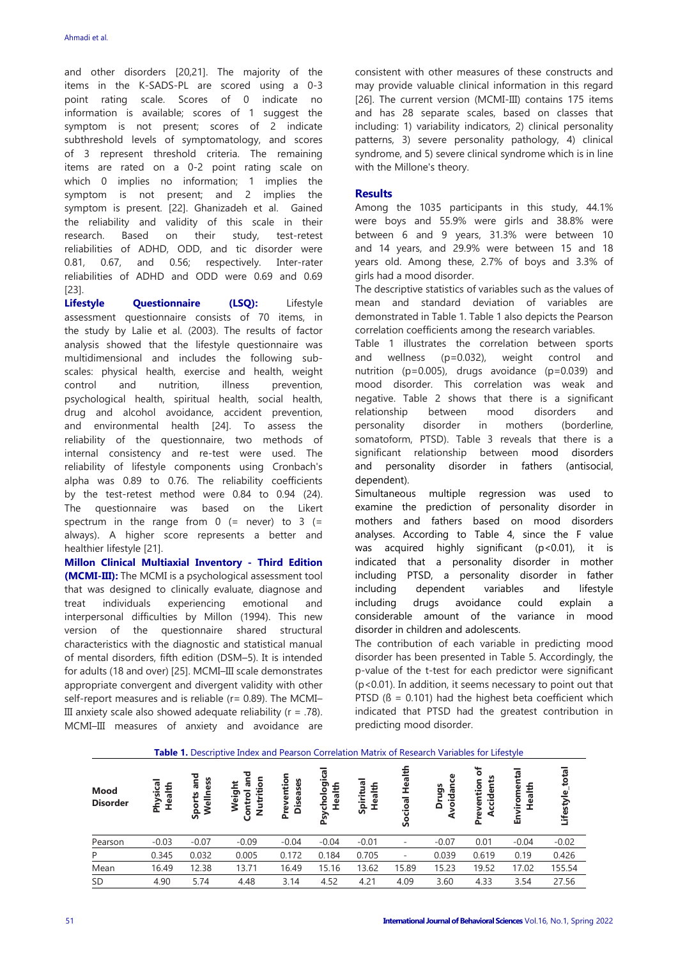and other disorders [20,21]. The majority of the items in the K-SADS-PL are scored using a 0-3 point rating scale. Scores of 0 indicate no information is available; scores of 1 suggest the symptom is not present; scores of 2 indicate subthreshold levels of symptomatology, and scores of 3 represent threshold criteria. The remaining items are rated on a 0-2 point rating scale on which 0 implies no information; 1 implies the symptom is not present; and 2 implies the symptom is present. [22]. Ghanizadeh et al. Gained the reliability and validity of this scale in their research. Based on their study, test-retest reliabilities of ADHD, ODD, and tic disorder were 0.81, 0.67, and 0.56; respectively. Inter-rater reliabilities of ADHD and ODD were 0.69 and 0.69 [23].

**Lifestyle Questionnaire (LSQ):** Lifestyle assessment questionnaire consists of 70 items, in the study by Lalie et al. (2003). The results of factor analysis showed that the lifestyle questionnaire was multidimensional and includes the following subscales: physical health, exercise and health, weight control and nutrition, illness prevention, psychological health, spiritual health, social health, drug and alcohol avoidance, accident prevention, and environmental health [24]. To assess the reliability of the questionnaire, two methods of internal consistency and re-test were used. The reliability of lifestyle components using Cronbach's alpha was 0.89 to 0.76. The reliability coefficients by the test-retest method were 0.84 to 0.94 (24). The questionnaire was based on the Likert spectrum in the range from  $0$  (= never) to  $3$  (= always). A higher score represents a better and healthier lifestyle [21].

**Millon Clinical Multiaxial Inventory - Third Edition (MCMI-III):** The MCMI is a psychological assessment tool that was designed to clinically evaluate, diagnose and treat individuals experiencing emotional and interpersonal difficulties by Millon (1994). This new version of the questionnaire shared structural characteristics with the diagnostic and statistical manual of mental disorders, fifth edition (DSM–5). It is intended for adults (18 and over) [25]. MCMI–III scale demonstrates appropriate convergent and divergent validity with other self-report measures and is reliable (r= 0.89). The MCMI-III anxiety scale also showed adequate reliability ( $r = .78$ ). MCMI–III measures of anxiety and avoidance are consistent with other measures of these constructs and may provide valuable clinical information in this regard [26]. The current version (MCMI-III) contains 175 items and has 28 separate scales, based on classes that including: 1) variability indicators, 2) clinical personality patterns, 3) severe personality pathology, 4) clinical syndrome, and 5) severe clinical syndrome which is in line with the Millone's theory.

### **Results**

Among the 1035 participants in this study, 44.1% were boys and 55.9% were girls and 38.8% were between 6 and 9 years, 31.3% were between 10 and 14 years, and 29.9% were between 15 and 18 years old. Among these, 2.7% of boys and 3.3% of girls had a mood disorder.

The descriptive statistics of variables such as the values of mean and standard deviation of variables are demonstrated in Table 1. Table 1 also depicts the Pearson correlation coefficients among the research variables.

Table 1 illustrates the correlation between sports and wellness (p=0.032), weight control and nutrition (p=0.005), drugs avoidance (p=0.039) and mood disorder. This correlation was weak and negative. Table 2 shows that there is a significant relationship between mood disorders and personality disorder in mothers (borderline, somatoform, PTSD). Table 3 reveals that there is a significant relationship between mood disorders and personality disorder in fathers (antisocial, dependent).

Simultaneous multiple regression was used to examine the prediction of personality disorder in mothers and fathers based on mood disorders analyses. According to Table 4, since the F value was acquired highly significant (p<0.01), it is indicated that a personality disorder in mother including PTSD, a personality disorder in father including dependent variables and lifestyle including drugs avoidance could explain a considerable amount of the variance in mood disorder in children and adolescents.

The contribution of each variable in predicting mood disorder has been presented in Table 5. Accordingly, the p-value of the t-test for each predictor were significant (p<0.01). In addition, it seems necessary to point out that PTSD  $(B = 0.101)$  had the highest beta coefficient which indicated that PTSD had the greatest contribution in predicting mood disorder.

| <b>Table 1.</b> Descriptive Index and Pearson Correlation Matrix of Research Variables for Lifestyle |                    |                           |                                       |                              |                             |                     |                           |                     |                              |                          |                    |
|------------------------------------------------------------------------------------------------------|--------------------|---------------------------|---------------------------------------|------------------------------|-----------------------------|---------------------|---------------------------|---------------------|------------------------------|--------------------------|--------------------|
| Mood<br><b>Disorder</b>                                                                              | Physical<br>Health | and<br>Wellness<br>Sports | 듕<br>Weight<br>Nutriti<br>ontrol<br>Ü | Preventio<br><b>Diseases</b> | gical<br>Health<br>Psycholo | Spiritual<br>Health | <u>Hea</u><br>cioal<br>တိ | oidance<br>sbn<br>δ | ㅎ<br>Accidents<br>Prevention | iromental<br>Health<br>면 | total<br>Lifestyle |
| Pearson                                                                                              | $-0.03$            | $-0.07$                   | $-0.09$                               | $-0.04$                      | $-0.04$                     | $-0.01$             | -                         | $-0.07$             | 0.01                         | $-0.04$                  | $-0.02$            |
| P                                                                                                    | 0.345              | 0.032                     | 0.005                                 | 0.172                        | 0.184                       | 0.705               | ٠                         | 0.039               | 0.619                        | 0.19                     | 0.426              |
| Mean                                                                                                 | 16.49              | 12.38                     | 13.71                                 | 16.49                        | 15.16                       | 13.62               | 15.89                     | 15.23               | 19.52                        | 17.02                    | 155.54             |
| SD                                                                                                   | 4.90               | 5.74                      | 4.48                                  | 3.14                         | 4.52                        | 4.21                | 4.09                      | 3.60                | 4.33                         | 3.54                     | 27.56              |

**Table 1.** Descriptive Index and Pearson Correlation Matrix of Research Variables for Lifestyle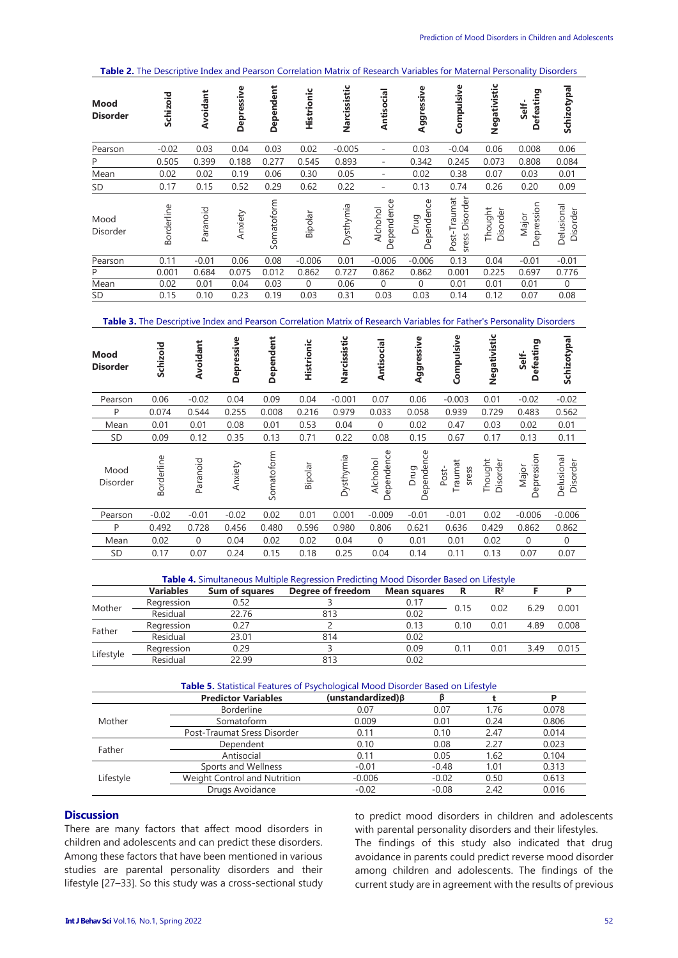**Table 2.** The Descriptive Index and Pearson Correlation Matrix of Research Variables for Maternal Personality Disorders

| <b>Mood</b><br><b>Disorder</b> | Schizoid   | Avoidant | Depressive | Dependent  | Histrionic | Narcissistic | Antisocial               | Aggressive         | Compulsive                        | Negativistic        | efeating<br>Self-<br>Ă | Schizotypal            |
|--------------------------------|------------|----------|------------|------------|------------|--------------|--------------------------|--------------------|-----------------------------------|---------------------|------------------------|------------------------|
| Pearson                        | $-0.02$    | 0.03     | 0.04       | 0.03       | 0.02       | $-0.005$     | -                        | 0.03               | $-0.04$                           | 0.06                | 0.008                  | 0.06                   |
| P                              | 0.505      | 0.399    | 0.188      | 0.277      | 0.545      | 0.893        | $\overline{\phantom{a}}$ | 0.342              | 0.245                             | 0.073               | 0.808                  | 0.084                  |
| Mean                           | 0.02       | 0.02     | 0.19       | 0.06       | 0.30       | 0.05         | $\overline{\phantom{a}}$ | 0.02               | 0.38                              | 0.07                | 0.03                   | 0.01                   |
| <b>SD</b>                      | 0.17       | 0.15     | 0.52       | 0.29       | 0.62       | 0.22         | $\overline{\phantom{0}}$ | 0.13               | 0.74                              | 0.26                | 0.20                   | 0.09                   |
| Mood<br>Disorder               | Borderline | Paranoid | Anxiety    | Somatoform | Bipolar    | Dysthymia    | Dependence<br>Alchohol   | Dependence<br>Drug | Disorder<br>Post-Traumat<br>sress | Thought<br>Disorder | Depression<br>Major    | Delusional<br>Disorder |
| Pearson                        | 0.11       | $-0.01$  | 0.06       | 0.08       | $-0.006$   | 0.01         | $-0.006$                 | $-0.006$           | 0.13                              | 0.04                | $-0.01$                | $-0.01$                |
| P                              | 0.001      | 0.684    | 0.075      | 0.012      | 0.862      | 0.727        | 0.862                    | 0.862              | 0.001                             | 0.225               | 0.697                  | 0.776                  |
| Mean                           | 0.02       | 0.01     | 0.04       | 0.03       | $\Omega$   | 0.06         | $\mathbf{0}$             | $\Omega$           | 0.01                              | 0.01                | 0.01                   | $\Omega$               |
| <b>SD</b>                      | 0.15       | 0.10     | 0.23       | 0.19       | 0.03       | 0.31         | 0.03                     | 0.03               | 0.14                              | 0.12                | 0.07                   | 0.08                   |

**Table 3.** The Descriptive Index and Pearson Correlation Matrix of Research Variables for Father's Personality Disorders

| Mood<br><b>Disorder</b> | Schizoid   | Avoidant     | Depressive | Dependent  | Histrionic | Narcissistic | Antisocial             | Aggressive         | Compulsive                | Negativistic        | efeating<br>Self-<br>۵ | Schizotypal            |
|-------------------------|------------|--------------|------------|------------|------------|--------------|------------------------|--------------------|---------------------------|---------------------|------------------------|------------------------|
| Pearson                 | 0.06       | $-0.02$      | 0.04       | 0.09       | 0.04       | $-0.001$     | 0.07                   | 0.06               | $-0.003$                  | 0.01                | $-0.02$                | $-0.02$                |
| P                       | 0.074      | 0.544        | 0.255      | 0.008      | 0.216      | 0.979        | 0.033                  | 0.058              | 0.939                     | 0.729               | 0.483                  | 0.562                  |
| Mean                    | 0.01       | 0.01         | 0.08       | 0.01       | 0.53       | 0.04         | $\mathbf{0}$           | 0.02               | 0.47                      | 0.03                | 0.02                   | 0.01                   |
| <b>SD</b>               | 0.09       | 0.12         | 0.35       | 0.13       | 0.71       | 0.22         | 0.08                   | 0.15               | 0.67                      | 0.17                | 0.13                   | 0.11                   |
| Mood<br>Disorder        | Borderline | Paranoid     | Anxiety    | Somatoform | Bipolar    | Dysthymia    | Dependence<br>Alchohol | Dependence<br>Drug | Traumat<br>Post-<br>sress | Thought<br>Disorder | Depression<br>Major    | Delusional<br>Disorder |
| Pearson                 | $-0.02$    | $-0.01$      | $-0.02$    | 0.02       | 0.01       | 0.001        | $-0.009$               | $-0.01$            | $-0.01$                   | 0.02                | $-0.006$               | $-0.006$               |
| P                       | 0.492      | 0.728        | 0.456      | 0.480      | 0.596      | 0.980        | 0.806                  | 0.621              | 0.636                     | 0.429               | 0.862                  | 0.862                  |
| Mean                    | 0.02       | $\mathbf{0}$ | 0.04       | 0.02       | 0.02       | 0.04         | $\mathbf 0$            | 0.01               | 0.01                      | 0.02                | $\mathbf{0}$           | $\mathbf{0}$           |
| <b>SD</b>               | 0.17       | 0.07         | 0.24       | 0.15       | 0.18       | 0.25         | 0.04                   | 0.14               | 0.11                      | 0.13                | 0.07                   | 0.07                   |

|           | Table 4. Simultaneous Multiple Regression Predicting Mood Disorder Based on Lifestyle |                       |                   |                     |                                                                              |       |  |       |  |  |  |
|-----------|---------------------------------------------------------------------------------------|-----------------------|-------------------|---------------------|------------------------------------------------------------------------------|-------|--|-------|--|--|--|
|           | <b>Variables</b>                                                                      | <b>Sum of squares</b> | Degree of freedom | <b>Mean squares</b> | R                                                                            | $R^2$ |  |       |  |  |  |
|           | Regression                                                                            | 0.52                  |                   | 0.17                | 0.02<br>0.15<br>629<br>0.001<br>4.89<br>0.01<br>0.10<br>0.11<br>0.01<br>3.49 |       |  |       |  |  |  |
| Mother    | Residual                                                                              | 22.76                 | 813               | 0.02                |                                                                              |       |  |       |  |  |  |
| Father    | Regression                                                                            | 0.27                  |                   | 0.13                |                                                                              |       |  | 0.008 |  |  |  |
|           | Residual                                                                              | 23.01                 | 814               | 0.02                |                                                                              |       |  |       |  |  |  |
|           | Regression                                                                            | 0.29                  |                   | 0.09                |                                                                              |       |  | 0.015 |  |  |  |
| Lifestyle | Residual                                                                              | 22.99                 | 813               | 0.02                |                                                                              |       |  |       |  |  |  |

|           | <b>Table 5.</b> Statistical Features of Psychological Mood Disorder Based on Lifestyle |                            |         |      |       |  |  |  |  |  |
|-----------|----------------------------------------------------------------------------------------|----------------------------|---------|------|-------|--|--|--|--|--|
|           | <b>Predictor Variables</b>                                                             | $(unstandardized)$ $\beta$ |         |      | P     |  |  |  |  |  |
|           | <b>Borderline</b>                                                                      | 0.07                       | 0.07    | 1.76 | 0.078 |  |  |  |  |  |
| Mother    | Somatoform                                                                             | 0.009                      | 0.01    | 0.24 | 0.806 |  |  |  |  |  |
|           | Post-Traumat Sress Disorder                                                            | 0.11                       | 0.10    | 2.47 | 0.014 |  |  |  |  |  |
| Father    | Dependent                                                                              | 0.10                       | 0.08    | 2.27 | 0.023 |  |  |  |  |  |
|           | Antisocial                                                                             | 0.11                       | 0.05    | 1.62 | 0.104 |  |  |  |  |  |
|           | Sports and Wellness                                                                    | $-0.01$                    | $-0.48$ | 1.01 | 0.313 |  |  |  |  |  |
| Lifestyle | Weight Control and Nutrition                                                           | $-0.006$                   | $-0.02$ | 0.50 | 0.613 |  |  |  |  |  |
|           | Drugs Avoidance                                                                        | $-0.02$                    | $-0.08$ | 2.42 | 0.016 |  |  |  |  |  |

## **Discussion**

There are many factors that affect mood disorders in children and adolescents and can predict these disorders. Among these factors that have been mentioned in various studies are parental personality disorders and their lifestyle [27–33]. So this study was a cross-sectional study to predict mood disorders in children and adolescents with parental personality disorders and their lifestyles. The findings of this study also indicated that drug avoidance in parents could predict reverse mood disorder among children and adolescents. The findings of the current study are in agreement with the results of previous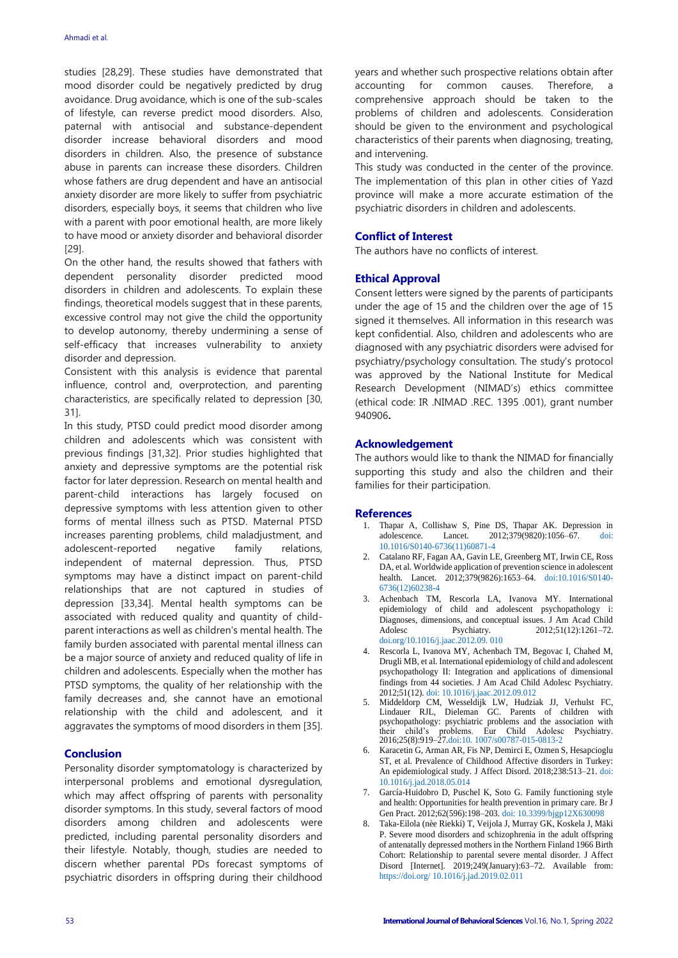studies [28,29]. These studies have demonstrated that mood disorder could be negatively predicted by drug avoidance. Drug avoidance, which is one of the sub-scales of lifestyle, can reverse predict mood disorders. Also, paternal with antisocial and substance-dependent disorder increase behavioral disorders and mood disorders in children. Also, the presence of substance abuse in parents can increase these disorders. Children whose fathers are drug dependent and have an antisocial anxiety disorder are more likely to suffer from psychiatric disorders, especially boys, it seems that children who live with a parent with poor emotional health, are more likely to have mood or anxiety disorder and behavioral disorder [29].

On the other hand, the results showed that fathers with dependent personality disorder predicted mood disorders in children and adolescents. To explain these findings, theoretical models suggest that in these parents, excessive control may not give the child the opportunity to develop autonomy, thereby undermining a sense of self-efficacy that increases vulnerability to anxiety disorder and depression.

Consistent with this analysis is evidence that parental influence, control and, overprotection, and parenting characteristics, are specifically related to depression [30, 31].

In this study, PTSD could predict mood disorder among children and adolescents which was consistent with previous findings [31,32]. Prior studies highlighted that anxiety and depressive symptoms are the potential risk factor for later depression. Research on mental health and parent-child interactions has largely focused on depressive symptoms with less attention given to other forms of mental illness such as PTSD. Maternal PTSD increases parenting problems, child maladjustment, and adolescent-reported negative family relations, independent of maternal depression. Thus, PTSD symptoms may have a distinct impact on parent-child relationships that are not captured in studies of depression [33,34]. Mental health symptoms can be associated with reduced quality and quantity of childparent interactions as well as children's mental health. The family burden associated with parental mental illness can be a major source of anxiety and reduced quality of life in children and adolescents. Especially when the mother has PTSD symptoms, the quality of her relationship with the family decreases and, she cannot have an emotional relationship with the child and adolescent, and it aggravates the symptoms of mood disorders in them [35].

#### **Conclusion**

Personality disorder symptomatology is characterized by interpersonal problems and emotional dysregulation, which may affect offspring of parents with personality disorder symptoms. In this study, several factors of mood disorders among children and adolescents were predicted, including parental personality disorders and their lifestyle. Notably, though, studies are needed to discern whether parental PDs forecast symptoms of psychiatric disorders in offspring during their childhood years and whether such prospective relations obtain after accounting for common causes. Therefore, a comprehensive approach should be taken to the problems of children and adolescents. Consideration should be given to the environment and psychological characteristics of their parents when diagnosing, treating, and intervening.

This study was conducted in the center of the province. The implementation of this plan in other cities of Yazd province will make a more accurate estimation of the psychiatric disorders in children and adolescents.

#### **Conflict of Interest**

The authors have no conflicts of interest.

#### **Ethical Approval**

Consent letters were signed by the parents of participants under the age of 15 and the children over the age of 15 signed it themselves. All information in this research was kept confidential. Also, children and adolescents who are diagnosed with any psychiatric disorders were advised for psychiatry/psychology consultation. The study's protocol was approved by the National Institute for Medical Research Development (NIMAD's) ethics committee (ethical code: IR .NIMAD .REC. 1395 .001), grant number 940906**.**

#### **Acknowledgement**

The authors would like to thank the NIMAD for financially supporting this study and also the children and their families for their participation.

#### **References**

- 1. Thapar A, Collishaw S, Pine DS, Thapar AK. Depression in adolescence. Lancet. 2012;379(9820):1056-67. [10.1016/S0140-6736\(11\)60871-4](doi:%2010.1016/S0140-6736(11)60871-4)
- 2. Catalano RF, Fagan AA, Gavin LE, Greenberg MT, Irwin CE, Ross DA, et al. Worldwide application of prevention science in adolescent health. Lancet. 2012;379(9826):1653-64. [doi:10.1016/S0140-](doi:10.1016/S0140-6736(12)60238-4) [6736\(12\)60238-4](doi:10.1016/S0140-6736(12)60238-4)
- 3. Achenbach TM, Rescorla LA, Ivanova MY. International epidemiology of child and adolescent psychopathology i: Diagnoses, dimensions, and conceptual issues. J Am Acad Child Adolesc Psychiatry. 2012;51(12):1261-72. [doi.org/10.1016/j.jaac.2012.09. 010](file:///C:/Users/zfarhangi/Downloads/doi.org/10.1016/j.jaac.2012.09.%20010)
- Rescorla L, Ivanova MY, Achenbach TM, Begovac I, Chahed M, Drugli MB, et al. International epidemiology of child and adolescent psychopathology II: Integration and applications of dimensional findings from 44 societies. J Am Acad Child Adolesc Psychiatry. 2012;51(12)[. doi: 10.1016/j.jaac.2012.09.012](doi:%2010.1016/j.jaac.2012.09.012)
- 5. Middeldorp CM, Wesseldijk LW, Hudziak JJ, Verhulst FC, Lindauer RJL, Dieleman GC. Parents of children with psychopathology: psychiatric problems and the association with their child's problems. Eur Child Adolesc Psychiatry. 2016;25(8):919–2[7.doi:10. 1007/s00787-015-0813-2](doi:10.%201007/s00787-015-0813-2)
- 6. Karacetin G, Arman AR, Fis NP, Demirci E, Ozmen S, Hesapcioglu ST, et al. Prevalence of Childhood Affective disorders in Turkey: An epidemiological study. J Affect Disord. 2018;238:513–21. [doi:](doi:%2010.1016/j.jad.2018.05.014.)  [10.1016/j.jad.2018.05.014](doi:%2010.1016/j.jad.2018.05.014.)
- 7. García-Huidobro D, Puschel K, Soto G. Family functioning style and health: Opportunities for health prevention in primary care. Br J Gen Pract. 2012;62(596):198–203. [doi: 10.3399/bjgp12X630098](doi:%2010.3399/bjgp12X630098)
- 8. Taka-Eilola (nèe Riekki) T, Veijola J, Murray GK, Koskela J, Mäki P. Severe mood disorders and schizophrenia in the adult offspring of antenatally depressed mothers in the Northern Finland 1966 Birth Cohort: Relationship to parental severe mental disorder. J Affect Disord [Internet]. 2019;249(January):63–72. Available from: [https://doi.org/ 10.1016/j.jad.2019.02.011](https://doi.org/%2010.1016/j.jad.2019.02.011)